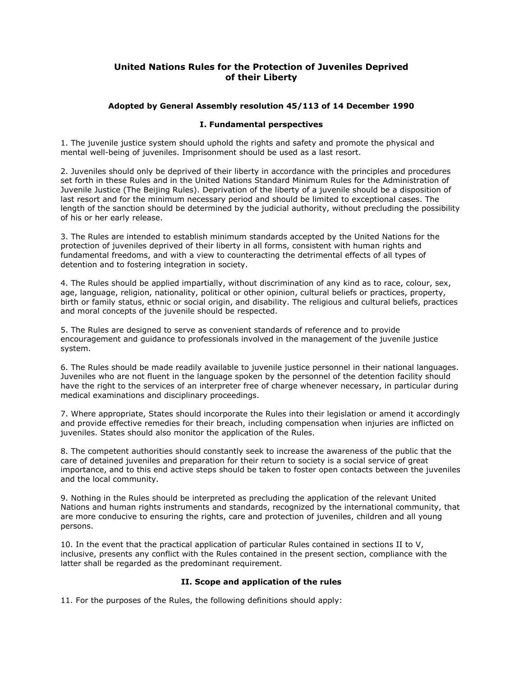# **United Nations Rules for the Protection of Juveniles Deprived of their Liberty**

# **Adopted by General Assembly resolution 45/113 of 14 December 1990**

# **I. Fundamental perspectives**

1. The juvenile justice system should uphold the rights and safety and promote the physical and mental well-being of juveniles. Imprisonment should be used as a last resort.

2. Juveniles should only be deprived of their liberty in accordance with the principles and procedures set forth in these Rules and in the United Nations Standard Minimum Rules for the Administration of Juvenile Justice (The Beijing Rules). Deprivation of the liberty of a juvenile should be a disposition of last resort and for the minimum necessary period and should be limited to exceptional cases. The length of the sanction should be determined by the judicial authority, without precluding the possibility of his or her early release.

3. The Rules are intended to establish minimum standards accepted by the United Nations for the protection of juveniles deprived of their liberty in all forms, consistent with human rights and fundamental freedoms, and with a view to counteracting the detrimental effects of all types of detention and to fostering integration in society.

4. The Rules should be applied impartially, without discrimination of any kind as to race, colour, sex, age, language, religion, nationality, political or other opinion, cultural beliefs or practices, property, birth or family status, ethnic or social origin, and disability. The religious and cultural beliefs, practices and moral concepts of the juvenile should be respected.

5. The Rules are designed to serve as convenient standards of reference and to provide encouragement and guidance to professionals involved in the management of the juvenile justice system.

6. The Rules should be made readily available to juvenile justice personnel in their national languages. Juveniles who are not fluent in the language spoken by the personnel of the detention facility should have the right to the services of an interpreter free of charge whenever necessary, in particular during medical examinations and disciplinary proceedings.

7. Where appropriate, States should incorporate the Rules into their legislation or amend it accordingly and provide effective remedies for their breach, including compensation when injuries are inflicted on juveniles. States should also monitor the application of the Rules.

8. The competent authorities should constantly seek to increase the awareness of the public that the care of detained juveniles and preparation for their return to society is a social service of great importance, and to this end active steps should be taken to foster open contacts between the juveniles and the local community.

9. Nothing in the Rules should be interpreted as precluding the application of the relevant United Nations and human rights instruments and standards, recognized by the international community, that are more conducive to ensuring the rights, care and protection of juveniles, children and all young persons.

10. In the event that the practical application of particular Rules contained in sections II to V, inclusive, presents any conflict with the Rules contained in the present section, compliance with the latter shall be regarded as the predominant requirement.

# **II. Scope and application of the rules**

11. For the purposes of the Rules, the following definitions should apply: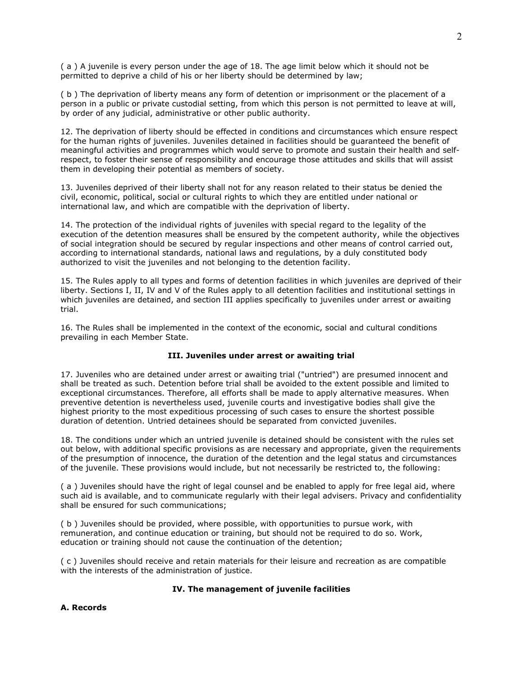( a ) A juvenile is every person under the age of 18. The age limit below which it should not be permitted to deprive a child of his or her liberty should be determined by law;

( b ) The deprivation of liberty means any form of detention or imprisonment or the placement of a person in a public or private custodial setting, from which this person is not permitted to leave at will, by order of any judicial, administrative or other public authority.

12. The deprivation of liberty should be effected in conditions and circumstances which ensure respect for the human rights of juveniles. Juveniles detained in facilities should be guaranteed the benefit of meaningful activities and programmes which would serve to promote and sustain their health and selfrespect, to foster their sense of responsibility and encourage those attitudes and skills that will assist them in developing their potential as members of society.

13. Juveniles deprived of their liberty shall not for any reason related to their status be denied the civil, economic, political, social or cultural rights to which they are entitled under national or international law, and which are compatible with the deprivation of liberty.

14. The protection of the individual rights of juveniles with special regard to the legality of the execution of the detention measures shall be ensured by the competent authority, while the objectives of social integration should be secured by regular inspections and other means of control carried out, according to international standards, national laws and regulations, by a duly constituted body authorized to visit the juveniles and not belonging to the detention facility.

15. The Rules apply to all types and forms of detention facilities in which juveniles are deprived of their liberty. Sections I, II, IV and V of the Rules apply to all detention facilities and institutional settings in which juveniles are detained, and section III applies specifically to juveniles under arrest or awaiting trial.

16. The Rules shall be implemented in the context of the economic, social and cultural conditions prevailing in each Member State.

# **III. Juveniles under arrest or awaiting trial**

17. Juveniles who are detained under arrest or awaiting trial ("untried") are presumed innocent and shall be treated as such. Detention before trial shall be avoided to the extent possible and limited to exceptional circumstances. Therefore, all efforts shall be made to apply alternative measures. When preventive detention is nevertheless used, juvenile courts and investigative bodies shall give the highest priority to the most expeditious processing of such cases to ensure the shortest possible duration of detention. Untried detainees should be separated from convicted juveniles.

18. The conditions under which an untried juvenile is detained should be consistent with the rules set out below, with additional specific provisions as are necessary and appropriate, given the requirements of the presumption of innocence, the duration of the detention and the legal status and circumstances of the juvenile. These provisions would include, but not necessarily be restricted to, the following:

( a ) Juveniles should have the right of legal counsel and be enabled to apply for free legal aid, where such aid is available, and to communicate regularly with their legal advisers. Privacy and confidentiality shall be ensured for such communications;

( b ) Juveniles should be provided, where possible, with opportunities to pursue work, with remuneration, and continue education or training, but should not be required to do so. Work, education or training should not cause the continuation of the detention;

( c ) Juveniles should receive and retain materials for their leisure and recreation as are compatible with the interests of the administration of justice.

# **IV. The management of juvenile facilities**

# **A. Records**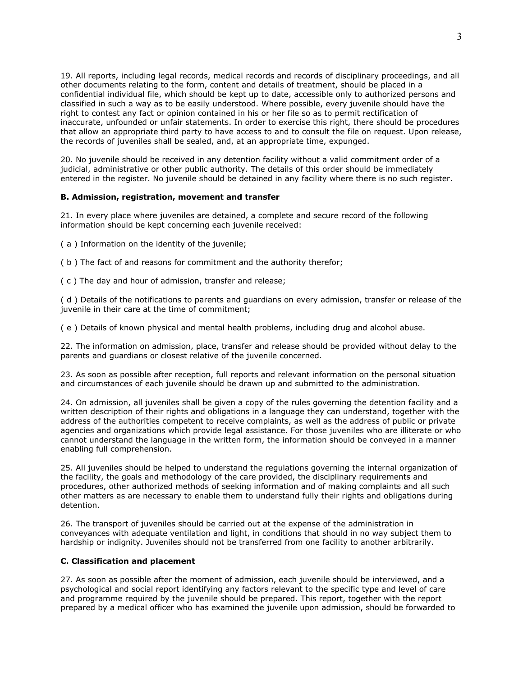19. All reports, including legal records, medical records and records of disciplinary proceedings, and all other documents relating to the form, content and details of treatment, should be placed in a confidential individual file, which should be kept up to date, accessible only to authorized persons and classified in such a way as to be easily understood. Where possible, every juvenile should have the right to contest any fact or opinion contained in his or her file so as to permit rectification of inaccurate, unfounded or unfair statements. In order to exercise this right, there should be procedures that allow an appropriate third party to have access to and to consult the file on request. Upon release, the records of juveniles shall be sealed, and, at an appropriate time, expunged.

20. No juvenile should be received in any detention facility without a valid commitment order of a judicial, administrative or other public authority. The details of this order should be immediately entered in the register. No juvenile should be detained in any facility where there is no such register.

### **B. Admission, registration, movement and transfer**

21. In every place where juveniles are detained, a complete and secure record of the following information should be kept concerning each juvenile received:

( a ) Information on the identity of the juvenile;

( b ) The fact of and reasons for commitment and the authority therefor;

( c ) The day and hour of admission, transfer and release;

( d ) Details of the notifications to parents and guardians on every admission, transfer or release of the juvenile in their care at the time of commitment;

( e ) Details of known physical and mental health problems, including drug and alcohol abuse.

22. The information on admission, place, transfer and release should be provided without delay to the parents and guardians or closest relative of the juvenile concerned.

23. As soon as possible after reception, full reports and relevant information on the personal situation and circumstances of each juvenile should be drawn up and submitted to the administration.

24. On admission, all juveniles shall be given a copy of the rules governing the detention facility and a written description of their rights and obligations in a language they can understand, together with the address of the authorities competent to receive complaints, as well as the address of public or private agencies and organizations which provide legal assistance. For those juveniles who are illiterate or who cannot understand the language in the written form, the information should be conveyed in a manner enabling full comprehension.

25. All juveniles should be helped to understand the regulations governing the internal organization of the facility, the goals and methodology of the care provided, the disciplinary requirements and procedures, other authorized methods of seeking information and of making complaints and all such other matters as are necessary to enable them to understand fully their rights and obligations during detention.

26. The transport of juveniles should be carried out at the expense of the administration in conveyances with adequate ventilation and light, in conditions that should in no way subject them to hardship or indignity. Juveniles should not be transferred from one facility to another arbitrarily.

# **C. Classification and placement**

27. As soon as possible after the moment of admission, each juvenile should be interviewed, and a psychological and social report identifying any factors relevant to the specific type and level of care and programme required by the juvenile should be prepared. This report, together with the report prepared by a medical officer who has examined the juvenile upon admission, should be forwarded to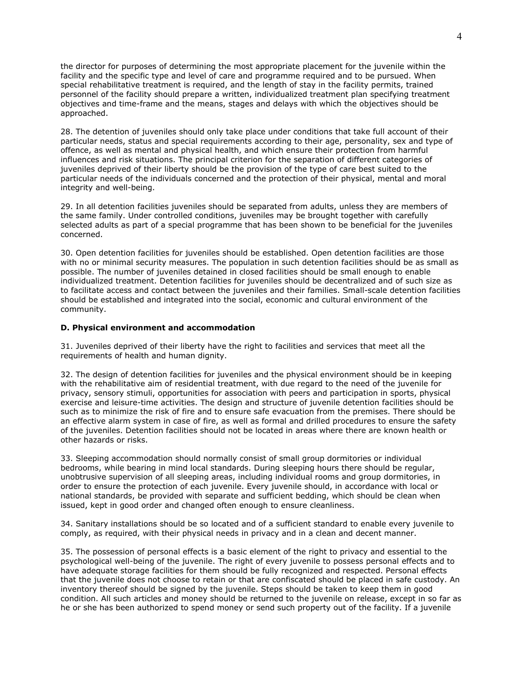the director for purposes of determining the most appropriate placement for the juvenile within the facility and the specific type and level of care and programme required and to be pursued. When special rehabilitative treatment is required, and the length of stay in the facility permits, trained personnel of the facility should prepare a written, individualized treatment plan specifying treatment objectives and time-frame and the means, stages and delays with which the objectives should be approached.

28. The detention of juveniles should only take place under conditions that take full account of their particular needs, status and special requirements according to their age, personality, sex and type of offence, as well as mental and physical health, and which ensure their protection from harmful influences and risk situations. The principal criterion for the separation of different categories of juveniles deprived of their liberty should be the provision of the type of care best suited to the particular needs of the individuals concerned and the protection of their physical, mental and moral integrity and well-being.

29. In all detention facilities juveniles should be separated from adults, unless they are members of the same family. Under controlled conditions, juveniles may be brought together with carefully selected adults as part of a special programme that has been shown to be beneficial for the juveniles concerned.

30. Open detention facilities for juveniles should be established. Open detention facilities are those with no or minimal security measures. The population in such detention facilities should be as small as possible. The number of juveniles detained in closed facilities should be small enough to enable individualized treatment. Detention facilities for juveniles should be decentralized and of such size as to facilitate access and contact between the juveniles and their families. Small-scale detention facilities should be established and integrated into the social, economic and cultural environment of the community.

### **D. Physical environment and accommodation**

31. Juveniles deprived of their liberty have the right to facilities and services that meet all the requirements of health and human dignity.

32. The design of detention facilities for juveniles and the physical environment should be in keeping with the rehabilitative aim of residential treatment, with due regard to the need of the juvenile for privacy, sensory stimuli, opportunities for association with peers and participation in sports, physical exercise and leisure-time activities. The design and structure of juvenile detention facilities should be such as to minimize the risk of fire and to ensure safe evacuation from the premises. There should be an effective alarm system in case of fire, as well as formal and drilled procedures to ensure the safety of the juveniles. Detention facilities should not be located in areas where there are known health or other hazards or risks.

33. Sleeping accommodation should normally consist of small group dormitories or individual bedrooms, while bearing in mind local standards. During sleeping hours there should be regular, unobtrusive supervision of all sleeping areas, including individual rooms and group dormitories, in order to ensure the protection of each juvenile. Every juvenile should, in accordance with local or national standards, be provided with separate and sufficient bedding, which should be clean when issued, kept in good order and changed often enough to ensure cleanliness.

34. Sanitary installations should be so located and of a sufficient standard to enable every juvenile to comply, as required, with their physical needs in privacy and in a clean and decent manner.

35. The possession of personal effects is a basic element of the right to privacy and essential to the psychological well-being of the juvenile. The right of every juvenile to possess personal effects and to have adequate storage facilities for them should be fully recognized and respected. Personal effects that the juvenile does not choose to retain or that are confiscated should be placed in safe custody. An inventory thereof should be signed by the juvenile. Steps should be taken to keep them in good condition. All such articles and money should be returned to the juvenile on release, except in so far as he or she has been authorized to spend money or send such property out of the facility. If a juvenile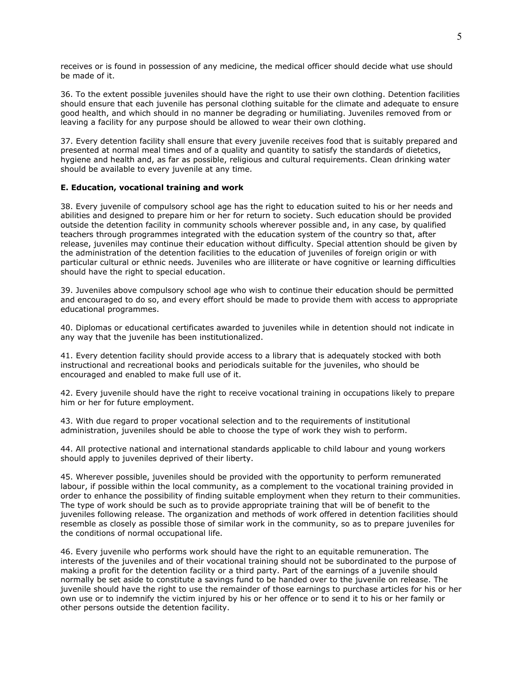receives or is found in possession of any medicine, the medical officer should decide what use should be made of it.

36. To the extent possible juveniles should have the right to use their own clothing. Detention facilities should ensure that each juvenile has personal clothing suitable for the climate and adequate to ensure good health, and which should in no manner be degrading or humiliating. Juveniles removed from or leaving a facility for any purpose should be allowed to wear their own clothing.

37. Every detention facility shall ensure that every juvenile receives food that is suitably prepared and presented at normal meal times and of a quality and quantity to satisfy the standards of dietetics, hygiene and health and, as far as possible, religious and cultural requirements. Clean drinking water should be available to every juvenile at any time.

### **E. Education, vocational training and work**

38. Every juvenile of compulsory school age has the right to education suited to his or her needs and abilities and designed to prepare him or her for return to society. Such education should be provided outside the detention facility in community schools wherever possible and, in any case, by qualified teachers through programmes integrated with the education system of the country so that, after release, juveniles may continue their education without difficulty. Special attention should be given by the administration of the detention facilities to the education of juveniles of foreign origin or with particular cultural or ethnic needs. Juveniles who are illiterate or have cognitive or learning difficulties should have the right to special education.

39. Juveniles above compulsory school age who wish to continue their education should be permitted and encouraged to do so, and every effort should be made to provide them with access to appropriate educational programmes.

40. Diplomas or educational certificates awarded to juveniles while in detention should not indicate in any way that the juvenile has been institutionalized.

41. Every detention facility should provide access to a library that is adequately stocked with both instructional and recreational books and periodicals suitable for the juveniles, who should be encouraged and enabled to make full use of it.

42. Every juvenile should have the right to receive vocational training in occupations likely to prepare him or her for future employment.

43. With due regard to proper vocational selection and to the requirements of institutional administration, juveniles should be able to choose the type of work they wish to perform.

44. All protective national and international standards applicable to child labour and young workers should apply to juveniles deprived of their liberty.

45. Wherever possible, juveniles should be provided with the opportunity to perform remunerated labour, if possible within the local community, as a complement to the vocational training provided in order to enhance the possibility of finding suitable employment when they return to their communities. The type of work should be such as to provide appropriate training that will be of benefit to the juveniles following release. The organization and methods of work offered in detention facilities should resemble as closely as possible those of similar work in the community, so as to prepare juveniles for the conditions of normal occupational life.

46. Every juvenile who performs work should have the right to an equitable remuneration. The interests of the juveniles and of their vocational training should not be subordinated to the purpose of making a profit for the detention facility or a third party. Part of the earnings of a juvenile should normally be set aside to constitute a savings fund to be handed over to the juvenile on release. The juvenile should have the right to use the remainder of those earnings to purchase articles for his or her own use or to indemnify the victim injured by his or her offence or to send it to his or her family or other persons outside the detention facility.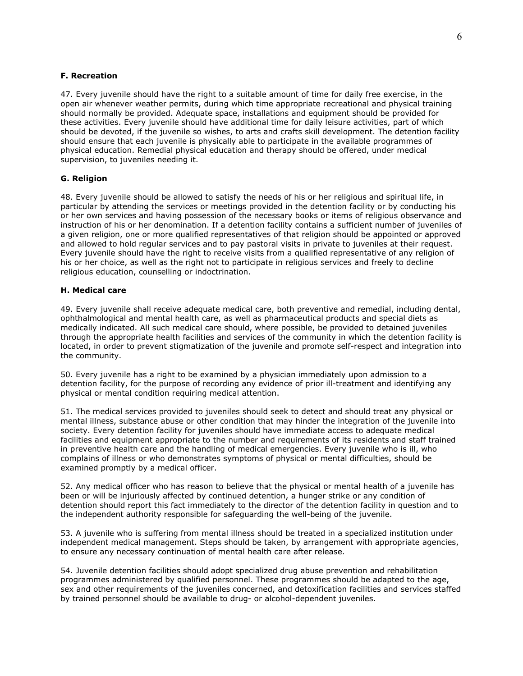### **F. Recreation**

47. Every juvenile should have the right to a suitable amount of time for daily free exercise, in the open air whenever weather permits, during which time appropriate recreational and physical training should normally be provided. Adequate space, installations and equipment should be provided for these activities. Every juvenile should have additional time for daily leisure activities, part of which should be devoted, if the juvenile so wishes, to arts and crafts skill development. The detention facility should ensure that each juvenile is physically able to participate in the available programmes of physical education. Remedial physical education and therapy should be offered, under medical supervision, to juveniles needing it.

# **G. Religion**

48. Every juvenile should be allowed to satisfy the needs of his or her religious and spiritual life, in particular by attending the services or meetings provided in the detention facility or by conducting his or her own services and having possession of the necessary books or items of religious observance and instruction of his or her denomination. If a detention facility contains a sufficient number of juveniles of a given religion, one or more qualified representatives of that religion should be appointed or approved and allowed to hold regular services and to pay pastoral visits in private to juveniles at their request. Every juvenile should have the right to receive visits from a qualified representative of any religion of his or her choice, as well as the right not to participate in religious services and freely to decline religious education, counselling or indoctrination.

#### **H. Medical care**

49. Every juvenile shall receive adequate medical care, both preventive and remedial, including dental, ophthalmological and mental health care, as well as pharmaceutical products and special diets as medically indicated. All such medical care should, where possible, be provided to detained juveniles through the appropriate health facilities and services of the community in which the detention facility is located, in order to prevent stigmatization of the juvenile and promote self-respect and integration into the community.

50. Every juvenile has a right to be examined by a physician immediately upon admission to a detention facility, for the purpose of recording any evidence of prior ill-treatment and identifying any physical or mental condition requiring medical attention.

51. The medical services provided to juveniles should seek to detect and should treat any physical or mental illness, substance abuse or other condition that may hinder the integration of the juvenile into society. Every detention facility for juveniles should have immediate access to adequate medical facilities and equipment appropriate to the number and requirements of its residents and staff trained in preventive health care and the handling of medical emergencies. Every juvenile who is ill, who complains of illness or who demonstrates symptoms of physical or mental difficulties, should be examined promptly by a medical officer.

52. Any medical officer who has reason to believe that the physical or mental health of a juvenile has been or will be injuriously affected by continued detention, a hunger strike or any condition of detention should report this fact immediately to the director of the detention facility in question and to the independent authority responsible for safeguarding the well-being of the juvenile.

53. A juvenile who is suffering from mental illness should be treated in a specialized institution under independent medical management. Steps should be taken, by arrangement with appropriate agencies, to ensure any necessary continuation of mental health care after release.

54. Juvenile detention facilities should adopt specialized drug abuse prevention and rehabilitation programmes administered by qualified personnel. These programmes should be adapted to the age, sex and other requirements of the juveniles concerned, and detoxification facilities and services staffed by trained personnel should be available to drug- or alcohol-dependent juveniles.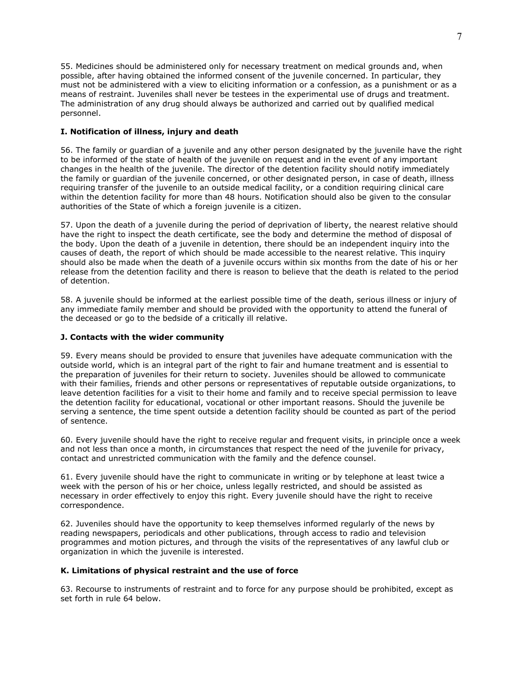55. Medicines should be administered only for necessary treatment on medical grounds and, when possible, after having obtained the informed consent of the juvenile concerned. In particular, they must not be administered with a view to eliciting information or a confession, as a punishment or as a means of restraint. Juveniles shall never be testees in the experimental use of drugs and treatment. The administration of any drug should always be authorized and carried out by qualified medical personnel.

# **I. Notification of illness, injury and death**

56. The family or guardian of a juvenile and any other person designated by the juvenile have the right to be informed of the state of health of the juvenile on request and in the event of any important changes in the health of the juvenile. The director of the detention facility should notify immediately the family or guardian of the juvenile concerned, or other designated person, in case of death, illness requiring transfer of the juvenile to an outside medical facility, or a condition requiring clinical care within the detention facility for more than 48 hours. Notification should also be given to the consular authorities of the State of which a foreign juvenile is a citizen.

57. Upon the death of a juvenile during the period of deprivation of liberty, the nearest relative should have the right to inspect the death certificate, see the body and determine the method of disposal of the body. Upon the death of a juvenile in detention, there should be an independent inquiry into the causes of death, the report of which should be made accessible to the nearest relative. This inquiry should also be made when the death of a juvenile occurs within six months from the date of his or her release from the detention facility and there is reason to believe that the death is related to the period of detention.

58. A juvenile should be informed at the earliest possible time of the death, serious illness or injury of any immediate family member and should be provided with the opportunity to attend the funeral of the deceased or go to the bedside of a critically ill relative.

# **J. Contacts with the wider community**

59. Every means should be provided to ensure that juveniles have adequate communication with the outside world, which is an integral part of the right to fair and humane treatment and is essential to the preparation of juveniles for their return to society. Juveniles should be allowed to communicate with their families, friends and other persons or representatives of reputable outside organizations, to leave detention facilities for a visit to their home and family and to receive special permission to leave the detention facility for educational, vocational or other important reasons. Should the juvenile be serving a sentence, the time spent outside a detention facility should be counted as part of the period of sentence.

60. Every juvenile should have the right to receive regular and frequent visits, in principle once a week and not less than once a month, in circumstances that respect the need of the juvenile for privacy, contact and unrestricted communication with the family and the defence counsel.

61. Every juvenile should have the right to communicate in writing or by telephone at least twice a week with the person of his or her choice, unless legally restricted, and should be assisted as necessary in order effectively to enjoy this right. Every juvenile should have the right to receive correspondence.

62. Juveniles should have the opportunity to keep themselves informed regularly of the news by reading newspapers, periodicals and other publications, through access to radio and television programmes and motion pictures, and through the visits of the representatives of any lawful club or organization in which the juvenile is interested.

# **K. Limitations of physical restraint and the use of force**

63. Recourse to instruments of restraint and to force for any purpose should be prohibited, except as set forth in rule 64 below.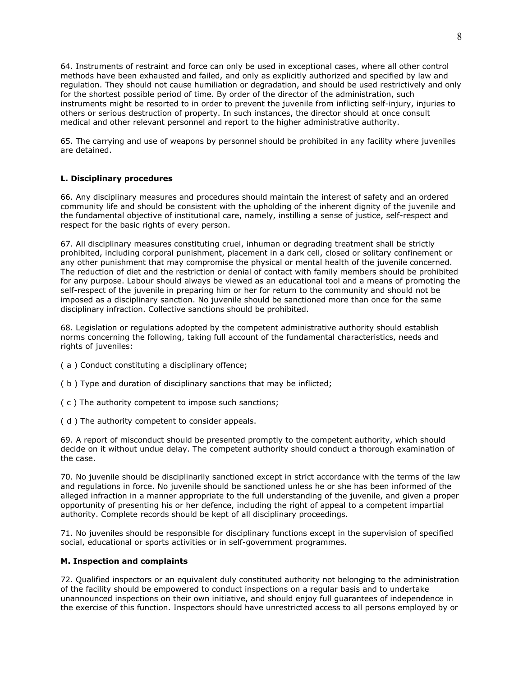64. Instruments of restraint and force can only be used in exceptional cases, where all other control methods have been exhausted and failed, and only as explicitly authorized and specified by law and regulation. They should not cause humiliation or degradation, and should be used restrictively and only for the shortest possible period of time. By order of the director of the administration, such instruments might be resorted to in order to prevent the juvenile from inflicting self-injury, injuries to others or serious destruction of property. In such instances, the director should at once consult medical and other relevant personnel and report to the higher administrative authority.

65. The carrying and use of weapons by personnel should be prohibited in any facility where juveniles are detained.

# **L. Disciplinary procedures**

66. Any disciplinary measures and procedures should maintain the interest of safety and an ordered community life and should be consistent with the upholding of the inherent dignity of the juvenile and the fundamental objective of institutional care, namely, instilling a sense of justice, self-respect and respect for the basic rights of every person.

67. All disciplinary measures constituting cruel, inhuman or degrading treatment shall be strictly prohibited, including corporal punishment, placement in a dark cell, closed or solitary confinement or any other punishment that may compromise the physical or mental health of the juvenile concerned. The reduction of diet and the restriction or denial of contact with family members should be prohibited for any purpose. Labour should always be viewed as an educational tool and a means of promoting the self-respect of the juvenile in preparing him or her for return to the community and should not be imposed as a disciplinary sanction. No juvenile should be sanctioned more than once for the same disciplinary infraction. Collective sanctions should be prohibited.

68. Legislation or regulations adopted by the competent administrative authority should establish norms concerning the following, taking full account of the fundamental characteristics, needs and rights of juveniles:

( a ) Conduct constituting a disciplinary offence;

- ( b ) Type and duration of disciplinary sanctions that may be inflicted;
- ( c ) The authority competent to impose such sanctions;
- ( d ) The authority competent to consider appeals.

69. A report of misconduct should be presented promptly to the competent authority, which should decide on it without undue delay. The competent authority should conduct a thorough examination of the case.

70. No juvenile should be disciplinarily sanctioned except in strict accordance with the terms of the law and regulations in force. No juvenile should be sanctioned unless he or she has been informed of the alleged infraction in a manner appropriate to the full understanding of the juvenile, and given a proper opportunity of presenting his or her defence, including the right of appeal to a competent impartial authority. Complete records should be kept of all disciplinary proceedings.

71. No juveniles should be responsible for disciplinary functions except in the supervision of specified social, educational or sports activities or in self-government programmes.

# **M. Inspection and complaints**

72. Qualified inspectors or an equivalent duly constituted authority not belonging to the administration of the facility should be empowered to conduct inspections on a regular basis and to undertake unannounced inspections on their own initiative, and should enjoy full guarantees of independence in the exercise of this function. Inspectors should have unrestricted access to all persons employed by or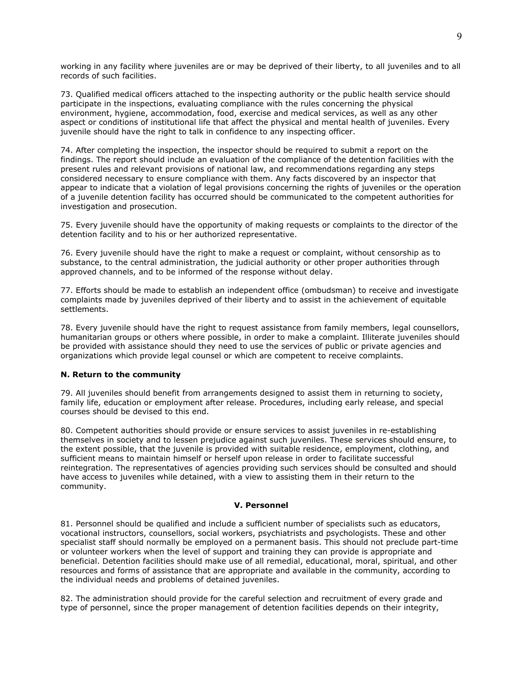working in any facility where juveniles are or may be deprived of their liberty, to all juveniles and to all records of such facilities.

73. Qualified medical officers attached to the inspecting authority or the public health service should participate in the inspections, evaluating compliance with the rules concerning the physical environment, hygiene, accommodation, food, exercise and medical services, as well as any other aspect or conditions of institutional life that affect the physical and mental health of juveniles. Every juvenile should have the right to talk in confidence to any inspecting officer.

74. After completing the inspection, the inspector should be required to submit a report on the findings. The report should include an evaluation of the compliance of the detention facilities with the present rules and relevant provisions of national law, and recommendations regarding any steps considered necessary to ensure compliance with them. Any facts discovered by an inspector that appear to indicate that a violation of legal provisions concerning the rights of juveniles or the operation of a juvenile detention facility has occurred should be communicated to the competent authorities for investigation and prosecution.

75. Every juvenile should have the opportunity of making requests or complaints to the director of the detention facility and to his or her authorized representative.

76. Every juvenile should have the right to make a request or complaint, without censorship as to substance, to the central administration, the judicial authority or other proper authorities through approved channels, and to be informed of the response without delay.

77. Efforts should be made to establish an independent office (ombudsman) to receive and investigate complaints made by juveniles deprived of their liberty and to assist in the achievement of equitable settlements.

78. Every juvenile should have the right to request assistance from family members, legal counsellors, humanitarian groups or others where possible, in order to make a complaint. Illiterate juveniles should be provided with assistance should they need to use the services of public or private agencies and organizations which provide legal counsel or which are competent to receive complaints.

#### **N. Return to the community**

79. All juveniles should benefit from arrangements designed to assist them in returning to society, family life, education or employment after release. Procedures, including early release, and special courses should be devised to this end.

80. Competent authorities should provide or ensure services to assist juveniles in re-establishing themselves in society and to lessen prejudice against such juveniles. These services should ensure, to the extent possible, that the juvenile is provided with suitable residence, employment, clothing, and sufficient means to maintain himself or herself upon release in order to facilitate successful reintegration. The representatives of agencies providing such services should be consulted and should have access to juveniles while detained, with a view to assisting them in their return to the community.

#### **V. Personnel**

81. Personnel should be qualified and include a sufficient number of specialists such as educators, vocational instructors, counsellors, social workers, psychiatrists and psychologists. These and other specialist staff should normally be employed on a permanent basis. This should not preclude part-time or volunteer workers when the level of support and training they can provide is appropriate and beneficial. Detention facilities should make use of all remedial, educational, moral, spiritual, and other resources and forms of assistance that are appropriate and available in the community, according to the individual needs and problems of detained juveniles.

82. The administration should provide for the careful selection and recruitment of every grade and type of personnel, since the proper management of detention facilities depends on their integrity,